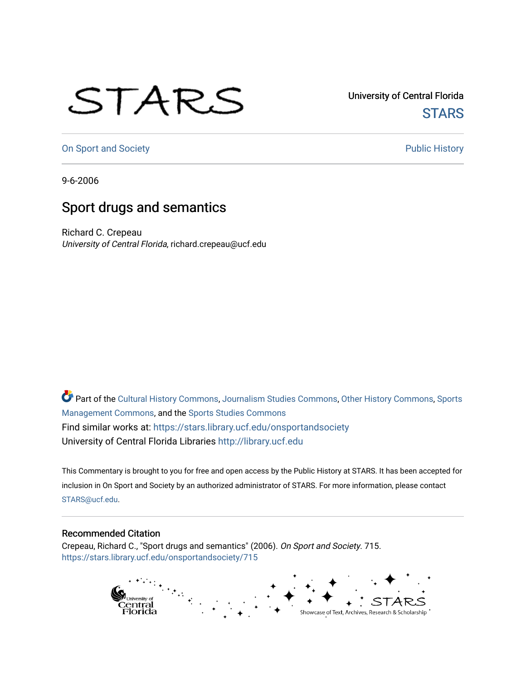## STARS

University of Central Florida **STARS** 

[On Sport and Society](https://stars.library.ucf.edu/onsportandsociety) **Public History** Public History

9-6-2006

## Sport drugs and semantics

Richard C. Crepeau University of Central Florida, richard.crepeau@ucf.edu

Part of the [Cultural History Commons](http://network.bepress.com/hgg/discipline/496?utm_source=stars.library.ucf.edu%2Fonsportandsociety%2F715&utm_medium=PDF&utm_campaign=PDFCoverPages), [Journalism Studies Commons,](http://network.bepress.com/hgg/discipline/333?utm_source=stars.library.ucf.edu%2Fonsportandsociety%2F715&utm_medium=PDF&utm_campaign=PDFCoverPages) [Other History Commons,](http://network.bepress.com/hgg/discipline/508?utm_source=stars.library.ucf.edu%2Fonsportandsociety%2F715&utm_medium=PDF&utm_campaign=PDFCoverPages) [Sports](http://network.bepress.com/hgg/discipline/1193?utm_source=stars.library.ucf.edu%2Fonsportandsociety%2F715&utm_medium=PDF&utm_campaign=PDFCoverPages) [Management Commons](http://network.bepress.com/hgg/discipline/1193?utm_source=stars.library.ucf.edu%2Fonsportandsociety%2F715&utm_medium=PDF&utm_campaign=PDFCoverPages), and the [Sports Studies Commons](http://network.bepress.com/hgg/discipline/1198?utm_source=stars.library.ucf.edu%2Fonsportandsociety%2F715&utm_medium=PDF&utm_campaign=PDFCoverPages) Find similar works at: <https://stars.library.ucf.edu/onsportandsociety> University of Central Florida Libraries [http://library.ucf.edu](http://library.ucf.edu/) 

This Commentary is brought to you for free and open access by the Public History at STARS. It has been accepted for inclusion in On Sport and Society by an authorized administrator of STARS. For more information, please contact [STARS@ucf.edu](mailto:STARS@ucf.edu).

## Recommended Citation

Crepeau, Richard C., "Sport drugs and semantics" (2006). On Sport and Society. 715. [https://stars.library.ucf.edu/onsportandsociety/715](https://stars.library.ucf.edu/onsportandsociety/715?utm_source=stars.library.ucf.edu%2Fonsportandsociety%2F715&utm_medium=PDF&utm_campaign=PDFCoverPages)

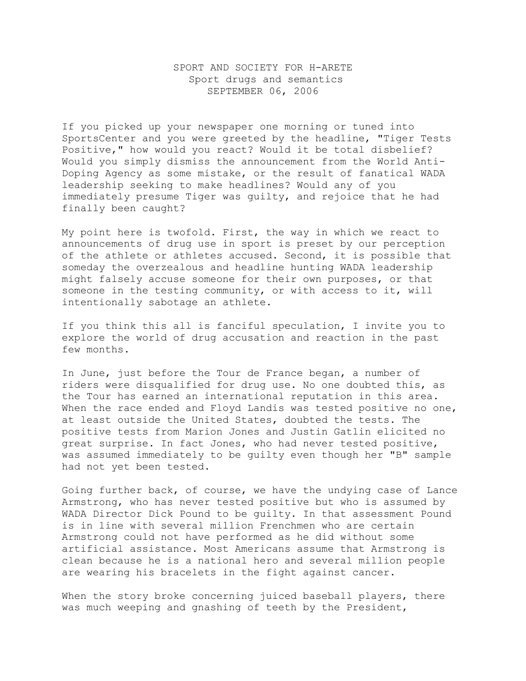## SPORT AND SOCIETY FOR H-ARETE Sport drugs and semantics SEPTEMBER 06, 2006

If you picked up your newspaper one morning or tuned into SportsCenter and you were greeted by the headline, "Tiger Tests Positive," how would you react? Would it be total disbelief? Would you simply dismiss the announcement from the World Anti-Doping Agency as some mistake, or the result of fanatical WADA leadership seeking to make headlines? Would any of you immediately presume Tiger was guilty, and rejoice that he had finally been caught?

My point here is twofold. First, the way in which we react to announcements of drug use in sport is preset by our perception of the athlete or athletes accused. Second, it is possible that someday the overzealous and headline hunting WADA leadership might falsely accuse someone for their own purposes, or that someone in the testing community, or with access to it, will intentionally sabotage an athlete.

If you think this all is fanciful speculation, I invite you to explore the world of drug accusation and reaction in the past few months.

In June, just before the Tour de France began, a number of riders were disqualified for drug use. No one doubted this, as the Tour has earned an international reputation in this area. When the race ended and Floyd Landis was tested positive no one, at least outside the United States, doubted the tests. The positive tests from Marion Jones and Justin Gatlin elicited no great surprise. In fact Jones, who had never tested positive, was assumed immediately to be guilty even though her "B" sample had not yet been tested.

Going further back, of course, we have the undying case of Lance Armstrong, who has never tested positive but who is assumed by WADA Director Dick Pound to be guilty. In that assessment Pound is in line with several million Frenchmen who are certain Armstrong could not have performed as he did without some artificial assistance. Most Americans assume that Armstrong is clean because he is a national hero and several million people are wearing his bracelets in the fight against cancer.

When the story broke concerning juiced baseball players, there was much weeping and gnashing of teeth by the President,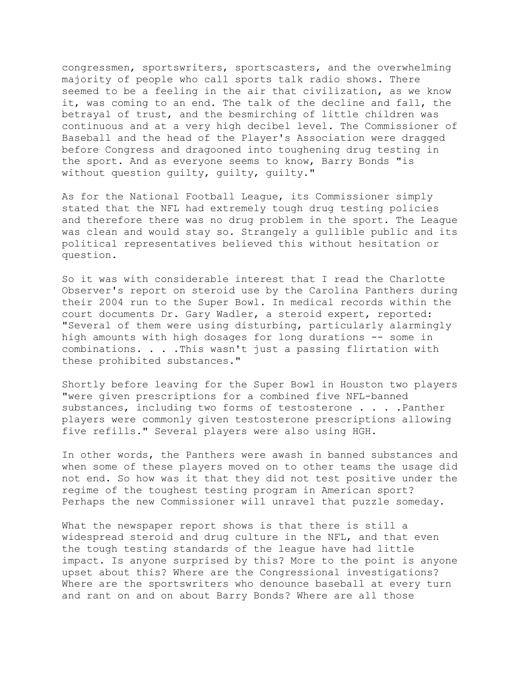congressmen, sportswriters, sportscasters, and the overwhelming majority of people who call sports talk radio shows. There seemed to be a feeling in the air that civilization, as we know it, was coming to an end. The talk of the decline and fall, the betrayal of trust, and the besmirching of little children was continuous and at a very high decibel level. The Commissioner of Baseball and the head of the Player's Association were dragged before Congress and dragooned into toughening drug testing in the sport. And as everyone seems to know, Barry Bonds "is without question guilty, guilty, guilty."

As for the National Football League, its Commissioner simply stated that the NFL had extremely tough drug testing policies and therefore there was no drug problem in the sport. The League was clean and would stay so. Strangely a gullible public and its political representatives believed this without hesitation or question.

So it was with considerable interest that I read the Charlotte Observer's report on steroid use by the Carolina Panthers during their 2004 run to the Super Bowl. In medical records within the court documents Dr. Gary Wadler, a steroid expert, reported: "Several of them were using disturbing, particularly alarmingly high amounts with high dosages for long durations -- some in combinations. . . .This wasn't just a passing flirtation with these prohibited substances."

Shortly before leaving for the Super Bowl in Houston two players "were given prescriptions for a combined five NFL-banned substances, including two forms of testosterone . . . . Panther players were commonly given testosterone prescriptions allowing five refills." Several players were also using HGH.

In other words, the Panthers were awash in banned substances and when some of these players moved on to other teams the usage did not end. So how was it that they did not test positive under the regime of the toughest testing program in American sport? Perhaps the new Commissioner will unravel that puzzle someday.

What the newspaper report shows is that there is still a widespread steroid and drug culture in the NFL, and that even the tough testing standards of the league have had little impact. Is anyone surprised by this? More to the point is anyone upset about this? Where are the Congressional investigations? Where are the sportswriters who denounce baseball at every turn and rant on and on about Barry Bonds? Where are all those